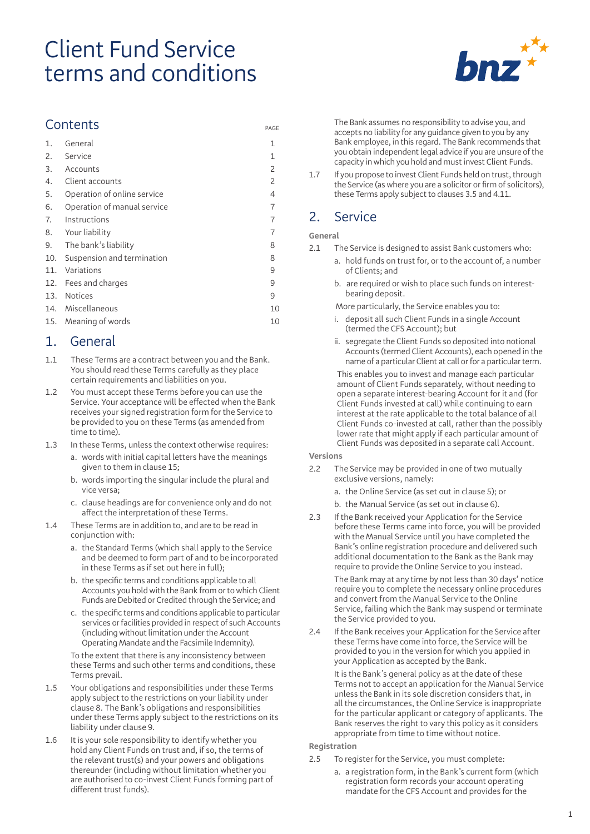# Client Fund Service terms and conditions



### **Contents**

| 1.  | General                     | 1  |
|-----|-----------------------------|----|
| 2.  | Service                     | 1  |
| 3.  | Accounts                    | 2  |
| 4.  | Client accounts             | 2  |
| 5.  | Operation of online service | 4  |
| 6.  | Operation of manual service | 7  |
| 7.  | Instructions                | 7  |
| 8.  | Your liability              | 7  |
| 9.  | The bank's liability        | 8  |
| 10. | Suspension and termination  | 8  |
| 11. | Variations                  | 9  |
| 12. | Fees and charges            | 9  |
|     | 13. Notices                 | 9  |
|     | 14. Miscellaneous           | 10 |
|     | 15. Meaning of words        | 10 |

### 1. General

- 1.1 These Terms are a contract between you and the Bank. You should read these Terms carefully as they place certain requirements and liabilities on you.
- 1.2 You must accept these Terms before you can use the Service. Your acceptance will be effected when the Bank receives your signed registration form for the Service to be provided to you on these Terms (as amended from time to time).
- 1.3 In these Terms, unless the context otherwise requires:
	- a. words with initial capital letters have the meanings given to them in clause 15;
	- b. words importing the singular include the plural and vice versa;
	- c. clause headings are for convenience only and do not affect the interpretation of these Terms.
- 1.4 These Terms are in addition to, and are to be read in conjunction with:
	- a. the Standard Terms (which shall apply to the Service and be deemed to form part of and to be incorporated in these Terms as if set out here in full);
	- b. the specific terms and conditions applicable to all Accounts you hold with the Bank from or to which Client Funds are Debited or Credited through the Service; and
	- c. the specific terms and conditions applicable to particular services or facilities provided in respect of such Accounts (including without limitation under the Account Operating Mandate and the Facsimile Indemnity).

To the extent that there is any inconsistency between these Terms and such other terms and conditions, these Terms prevail.

- 1.5 Your obligations and responsibilities under these Terms apply subject to the restrictions on your liability under clause 8. The Bank's obligations and responsibilities under these Terms apply subject to the restrictions on its liability under clause 9.
- 1.6 It is your sole responsibility to identify whether you hold any Client Funds on trust and, if so, the terms of the relevant trust(s) and your powers and obligations thereunder (including without limitation whether you are authorised to co-invest Client Funds forming part of different trust funds).

The Bank assumes no responsibility to advise you, and accepts no liability for any guidance given to you by any Bank employee, in this regard. The Bank recommends that you obtain independent legal advice if you are unsure of the capacity in which you hold and must invest Client Funds.

1.7 If you propose to invest Client Funds held on trust, through the Service (as where you are a solicitor or firm of solicitors), these Terms apply subject to clauses 3.5 and 4.11.

### 2. Service

### **General**

PAGE

- 2.1 The Service is designed to assist Bank customers who:
	- a. hold funds on trust for, or to the account of, a number of Clients; and
	- b. are required or wish to place such funds on interestbearing deposit.
	- More particularly, the Service enables you to:
	- i. deposit all such Client Funds in a single Account (termed the CFS Account); but
	- ii. segregate the Client Funds so deposited into notional Accounts (termed Client Accounts), each opened in the name of a particular Client at call or for a particular term.

This enables you to invest and manage each particular amount of Client Funds separately, without needing to open a separate interest-bearing Account for it and (for Client Funds invested at call) while continuing to earn interest at the rate applicable to the total balance of all Client Funds co-invested at call, rather than the possibly lower rate that might apply if each particular amount of Client Funds was deposited in a separate call Account.

#### **Versions**

- 2.2 The Service may be provided in one of two mutually exclusive versions, namely:
	- a. the Online Service (as set out in clause 5); or
	- b. the Manual Service (as set out in clause 6).
- 2.3 If the Bank received your Application for the Service before these Terms came into force, you will be provided with the Manual Service until you have completed the Bank's online registration procedure and delivered such additional documentation to the Bank as the Bank may require to provide the Online Service to you instead.

The Bank may at any time by not less than 30 days' notice require you to complete the necessary online procedures and convert from the Manual Service to the Online Service, failing which the Bank may suspend or terminate the Service provided to you.

2.4 If the Bank receives your Application for the Service after these Terms have come into force, the Service will be provided to you in the version for which you applied in your Application as accepted by the Bank.

> It is the Bank's general policy as at the date of these Terms not to accept an application for the Manual Service unless the Bank in its sole discretion considers that, in all the circumstances, the Online Service is inappropriate for the particular applicant or category of applicants. The Bank reserves the right to vary this policy as it considers appropriate from time to time without notice.

### **Registration**

- 2.5 To register for the Service, you must complete:
	- a. a registration form, in the Bank's current form (which registration form records your account operating mandate for the CFS Account and provides for the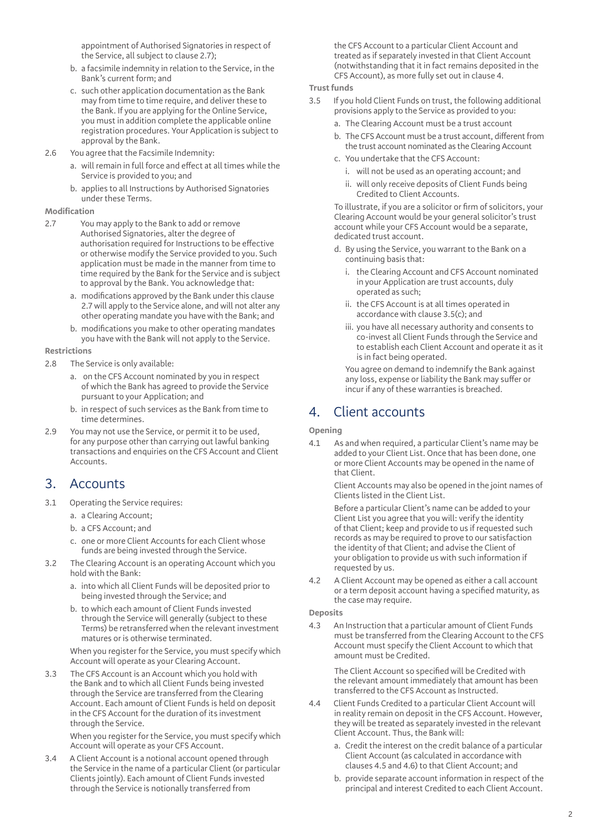appointment of Authorised Signatories in respect of the Service, all subject to clause 2.7);

- b. a facsimile indemnity in relation to the Service, in the Bank's current form; and
- c. such other application documentation as the Bank may from time to time require, and deliver these to the Bank. If you are applying for the Online Service, you must in addition complete the applicable online registration procedures. Your Application is subject to approval by the Bank.
- 2.6 You agree that the Facsimile Indemnity:
	- a. will remain in full force and effect at all times while the Service is provided to you; and
	- b. applies to all Instructions by Authorised Signatories under these Terms.

#### **Modification**

- 2.7 You may apply to the Bank to add or remove Authorised Signatories, alter the degree of authorisation required for Instructions to be effective or otherwise modify the Service provided to you. Such application must be made in the manner from time to time required by the Bank for the Service and is subject to approval by the Bank. You acknowledge that:
	- a. modifications approved by the Bank under this clause 2.7 will apply to the Service alone, and will not alter any other operating mandate you have with the Bank; and
	- b. modifications you make to other operating mandates you have with the Bank will not apply to the Service.

### **Restrictions**

- 2.8 The Service is only available:
	- a. on the CFS Account nominated by you in respect of which the Bank has agreed to provide the Service pursuant to your Application; and
	- b. in respect of such services as the Bank from time to time determines.
- 2.9 You may not use the Service, or permit it to be used, for any purpose other than carrying out lawful banking transactions and enquiries on the CFS Account and Client Accounts.

### 3. Accounts

- 3.1 Operating the Service requires:
	- a. a Clearing Account;
	- b. a CFS Account; and
	- c. one or more Client Accounts for each Client whose funds are being invested through the Service.
- 3.2 The Clearing Account is an operating Account which you hold with the Bank:
	- a. into which all Client Funds will be deposited prior to being invested through the Service; and
	- b. to which each amount of Client Funds invested through the Service will generally (subject to these Terms) be retransferred when the relevant investment matures or is otherwise terminated.

When you register for the Service, you must specify which Account will operate as your Clearing Account.

3.3 The CFS Account is an Account which you hold with the Bank and to which all Client Funds being invested through the Service are transferred from the Clearing Account. Each amount of Client Funds is held on deposit in the CFS Account for the duration of its investment through the Service.

> When you register for the Service, you must specify which Account will operate as your CFS Account.

3.4 A Client Account is a notional account opened through the Service in the name of a particular Client (or particular Clients jointly). Each amount of Client Funds invested through the Service is notionally transferred from

the CFS Account to a particular Client Account and treated as if separately invested in that Client Account (notwithstanding that it in fact remains deposited in the CFS Account), as more fully set out in clause 4.

#### **Trust funds**

- 3.5 If you hold Client Funds on trust, the following additional provisions apply to the Service as provided to you:
	- a. The Clearing Account must be a trust account
	- b. The CFS Account must be a trust account, different from the trust account nominated as the Clearing Account
	- c. You undertake that the CFS Account:
		- i. will not be used as an operating account; and
		- ii. will only receive deposits of Client Funds being Credited to Client Accounts.

To illustrate, if you are a solicitor or firm of solicitors, your Clearing Account would be your general solicitor's trust account while your CFS Account would be a separate, dedicated trust account.

- d. By using the Service, you warrant to the Bank on a continuing basis that:
	- i. the Clearing Account and CFS Account nominated in your Application are trust accounts, duly operated as such;
	- ii. the CFS Account is at all times operated in accordance with clause 3.5(c); and
	- iii. you have all necessary authority and consents to co-invest all Client Funds through the Service and to establish each Client Account and operate it as it is in fact being operated.

You agree on demand to indemnify the Bank against any loss, expense or liability the Bank may suffer or incur if any of these warranties is breached.

### 4. Client accounts

**Opening**

4.1 As and when required, a particular Client's name may be added to your Client List. Once that has been done, one or more Client Accounts may be opened in the name of that Client.

> Client Accounts may also be opened in the joint names of Clients listed in the Client List.

Before a particular Client's name can be added to your Client List you agree that you will: verify the identity of that Client; keep and provide to us if requested such records as may be required to prove to our satisfaction the identity of that Client; and advise the Client of your obligation to provide us with such information if requested by us.

4.2 A Client Account may be opened as either a call account or a term deposit account having a specified maturity, as the case may require.

### **Deposits**

4.3 An Instruction that a particular amount of Client Funds must be transferred from the Clearing Account to the CFS Account must specify the Client Account to which that amount must be Credited.

The Client Account so specified will be Credited with the relevant amount immediately that amount has been transferred to the CFS Account as Instructed.

- 4.4 Client Funds Credited to a particular Client Account will in reality remain on deposit in the CFS Account. However, they will be treated as separately invested in the relevant Client Account. Thus, the Bank will:
	- a. Credit the interest on the credit balance of a particular Client Account (as calculated in accordance with clauses 4.5 and 4.6) to that Client Account; and
	- b. provide separate account information in respect of the principal and interest Credited to each Client Account.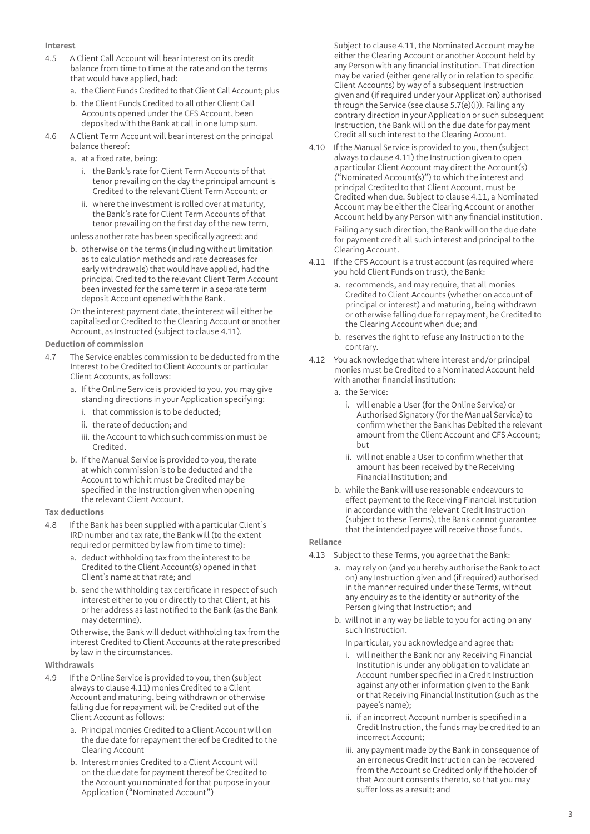#### **Interest**

- 4.5 A Client Call Account will bear interest on its credit balance from time to time at the rate and on the terms that would have applied, had:
	- a. the Client Funds Credited to that Client Call Account; plus
	- b. the Client Funds Credited to all other Client Call Accounts opened under the CFS Account, been deposited with the Bank at call in one lump sum.
- 4.6 A Client Term Account will bear interest on the principal balance thereof:
	- a. at a fixed rate, being:
		- i. the Bank's rate for Client Term Accounts of that tenor prevailing on the day the principal amount is Credited to the relevant Client Term Account; or
		- ii. where the investment is rolled over at maturity, the Bank's rate for Client Term Accounts of that tenor prevailing on the first day of the new term,

unless another rate has been specifically agreed; and

b. otherwise on the terms (including without limitation as to calculation methods and rate decreases for early withdrawals) that would have applied, had the principal Credited to the relevant Client Term Account been invested for the same term in a separate term deposit Account opened with the Bank.

On the interest payment date, the interest will either be capitalised or Credited to the Clearing Account or another Account, as Instructed (subject to clause 4.11).

#### **Deduction of commission**

- 4.7 The Service enables commission to be deducted from the Interest to be Credited to Client Accounts or particular Client Accounts, as follows:
	- a. If the Online Service is provided to you, you may give standing directions in your Application specifying:
		- i. that commission is to be deducted;
		- ii. the rate of deduction; and
		- iii. the Account to which such commission must be Credited.
	- b. If the Manual Service is provided to you, the rate at which commission is to be deducted and the Account to which it must be Credited may be specified in the Instruction given when opening the relevant Client Account.

#### **Tax deductions**

- 4.8 If the Bank has been supplied with a particular Client's IRD number and tax rate, the Bank will (to the extent required or permitted by law from time to time):
	- a. deduct withholding tax from the interest to be Credited to the Client Account(s) opened in that Client's name at that rate; and
	- b. send the withholding tax certificate in respect of such interest either to you or directly to that Client, at his or her address as last notified to the Bank (as the Bank may determine).

Otherwise, the Bank will deduct withholding tax from the interest Credited to Client Accounts at the rate prescribed by law in the circumstances.

#### **Withdrawals**

- 4.9 If the Online Service is provided to you, then (subject always to clause 4.11) monies Credited to a Client Account and maturing, being withdrawn or otherwise falling due for repayment will be Credited out of the Client Account as follows:
	- a. Principal monies Credited to a Client Account will on the due date for repayment thereof be Credited to the Clearing Account
	- b. Interest monies Credited to a Client Account will on the due date for payment thereof be Credited to the Account you nominated for that purpose in your Application ("Nominated Account")

Subject to clause 4.11, the Nominated Account may be either the Clearing Account or another Account held by any Person with any financial institution. That direction may be varied (either generally or in relation to specific Client Accounts) by way of a subsequent Instruction given and (if required under your Application) authorised through the Service (see clause 5.7(e)(i)). Failing any contrary direction in your Application or such subsequent Instruction, the Bank will on the due date for payment Credit all such interest to the Clearing Account.

- 4.10 If the Manual Service is provided to you, then (subject always to clause 4.11) the Instruction given to open a particular Client Account may direct the Account(s) ("Nominated Account(s)") to which the interest and principal Credited to that Client Account, must be Credited when due. Subject to clause 4.11, a Nominated Account may be either the Clearing Account or another Account held by any Person with any financial institution. Failing any such direction, the Bank will on the due date for payment credit all such interest and principal to the Clearing Account.
- 4.11 If the CFS Account is a trust account (as required where you hold Client Funds on trust), the Bank:
	- a. recommends, and may require, that all monies Credited to Client Accounts (whether on account of principal or interest) and maturing, being withdrawn or otherwise falling due for repayment, be Credited to the Clearing Account when due; and
	- b. reserves the right to refuse any Instruction to the contrary.
- 4.12 You acknowledge that where interest and/or principal monies must be Credited to a Nominated Account held with another financial institution:
	- a. the Service:
		- i. will enable a User (for the Online Service) or Authorised Signatory (for the Manual Service) to confirm whether the Bank has Debited the relevant amount from the Client Account and CFS Account; but
		- ii. will not enable a User to confirm whether that amount has been received by the Receiving Financial Institution; and
	- b. while the Bank will use reasonable endeavours to effect payment to the Receiving Financial Institution in accordance with the relevant Credit Instruction (subject to these Terms), the Bank cannot guarantee that the intended payee will receive those funds.

### **Reliance**

- 4.13 Subject to these Terms, you agree that the Bank:
	- a. may rely on (and you hereby authorise the Bank to act on) any Instruction given and (if required) authorised in the manner required under these Terms, without any enquiry as to the identity or authority of the Person giving that Instruction; and
	- b. will not in any way be liable to you for acting on any such Instruction.
		- In particular, you acknowledge and agree that:
		- i. will neither the Bank nor any Receiving Financial Institution is under any obligation to validate an Account number specified in a Credit Instruction against any other information given to the Bank or that Receiving Financial Institution (such as the payee's name);
		- ii. if an incorrect Account number is specified in a Credit Instruction, the funds may be credited to an incorrect Account;
		- iii. any payment made by the Bank in consequence of an erroneous Credit Instruction can be recovered from the Account so Credited only if the holder of that Account consents thereto, so that you may suffer loss as a result; and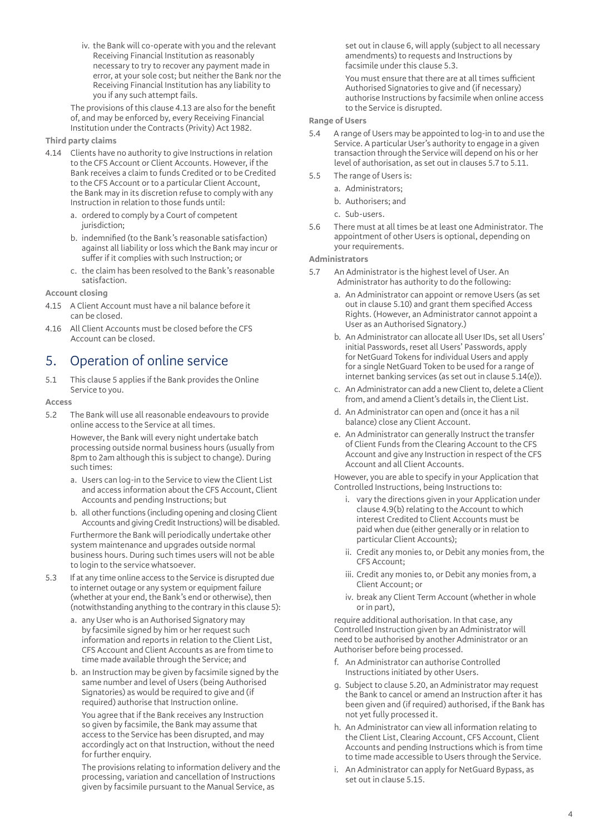iv. the Bank will co-operate with you and the relevant Receiving Financial Institution as reasonably necessary to try to recover any payment made in error, at your sole cost; but neither the Bank nor the Receiving Financial Institution has any liability to you if any such attempt fails.

The provisions of this clause 4.13 are also for the benefit of, and may be enforced by, every Receiving Financial Institution under the Contracts (Privity) Act 1982.

#### **Third party claims**

- 4.14 Clients have no authority to give Instructions in relation to the CFS Account or Client Accounts. However, if the Bank receives a claim to funds Credited or to be Credited to the CFS Account or to a particular Client Account, the Bank may in its discretion refuse to comply with any Instruction in relation to those funds until:
	- a. ordered to comply by a Court of competent jurisdiction:
	- b. indemnified (to the Bank's reasonable satisfaction) against all liability or loss which the Bank may incur or suffer if it complies with such Instruction; or
	- c. the claim has been resolved to the Bank's reasonable satisfaction.

#### **Account closing**

- 4.15 A Client Account must have a nil balance before it can be closed.
- 4.16 All Client Accounts must be closed before the CFS Account can be closed.

### 5. Operation of online service

5.1 This clause 5 applies if the Bank provides the Online Service to you.

#### **Access**

5.2 The Bank will use all reasonable endeavours to provide online access to the Service at all times.

> However, the Bank will every night undertake batch processing outside normal business hours (usually from 8pm to 2am although this is subject to change). During such times:

- a. Users can log-in to the Service to view the Client List and access information about the CFS Account, Client Accounts and pending Instructions; but
- b. all other functions (including opening and closing Client Accounts and giving Credit Instructions) will be disabled.

Furthermore the Bank will periodically undertake other system maintenance and upgrades outside normal business hours. During such times users will not be able to login to the service whatsoever.

- 5.3 If at any time online access to the Service is disrupted due to internet outage or any system or equipment failure (whether at your end, the Bank's end or otherwise), then (notwithstanding anything to the contrary in this clause 5):
	- a. any User who is an Authorised Signatory may by facsimile signed by him or her request such information and reports in relation to the Client List, CFS Account and Client Accounts as are from time to time made available through the Service; and
	- b. an Instruction may be given by facsimile signed by the same number and level of Users (being Authorised Signatories) as would be required to give and (if required) authorise that Instruction online.

You agree that if the Bank receives any Instruction so given by facsimile, the Bank may assume that access to the Service has been disrupted, and may accordingly act on that Instruction, without the need for further enquiry.

The provisions relating to information delivery and the processing, variation and cancellation of Instructions given by facsimile pursuant to the Manual Service, as

set out in clause 6, will apply (subject to all necessary amendments) to requests and Instructions by facsimile under this clause 5.3.

You must ensure that there are at all times sufficient Authorised Signatories to give and (if necessary) authorise Instructions by facsimile when online access to the Service is disrupted.

#### **Range of Users**

- 5.4 A range of Users may be appointed to log-in to and use the Service. A particular User's authority to engage in a given transaction through the Service will depend on his or her level of authorisation, as set out in clauses 5.7 to 5.11.
- 5.5 The range of Users is:
	- a. Administrators;
	- b. Authorisers; and
	- c. Sub-users.
- 5.6 There must at all times be at least one Administrator. The appointment of other Users is optional, depending on your requirements.

#### **Administrators**

- 5.7 An Administrator is the highest level of User. An Administrator has authority to do the following:
	- a. An Administrator can appoint or remove Users (as set out in clause 5.10) and grant them specified Access Rights. (However, an Administrator cannot appoint a User as an Authorised Signatory.)
	- b. An Administrator can allocate all User IDs, set all Users' initial Passwords, reset all Users' Passwords, apply for NetGuard Tokens for individual Users and apply for a single NetGuard Token to be used for a range of internet banking services (as set out in clause 5.14(e)).
	- c. An Administrator can add a new Client to, delete a Client from, and amend a Client's details in, the Client List.
	- d. An Administrator can open and (once it has a nil balance) close any Client Account.
	- e. An Administrator can generally Instruct the transfer of Client Funds from the Clearing Account to the CFS Account and give any Instruction in respect of the CFS Account and all Client Accounts.

However, you are able to specify in your Application that Controlled Instructions, being Instructions to:

- i. vary the directions given in your Application under clause 4.9(b) relating to the Account to which interest Credited to Client Accounts must be paid when due (either generally or in relation to particular Client Accounts);
- ii. Credit any monies to, or Debit any monies from, the CFS Account;
- iii. Credit any monies to, or Debit any monies from, a Client Account; or
- iv. break any Client Term Account (whether in whole or in part),

require additional authorisation. In that case, any Controlled Instruction given by an Administrator will need to be authorised by another Administrator or an Authoriser before being processed.

- f. An Administrator can authorise Controlled Instructions initiated by other Users.
- g. Subject to clause 5.20, an Administrator may request the Bank to cancel or amend an Instruction after it has been given and (if required) authorised, if the Bank has not yet fully processed it.
- h. An Administrator can view all information relating to the Client List, Clearing Account, CFS Account, Client Accounts and pending Instructions which is from time to time made accessible to Users through the Service.
- i. An Administrator can apply for NetGuard Bypass, as set out in clause 5.15.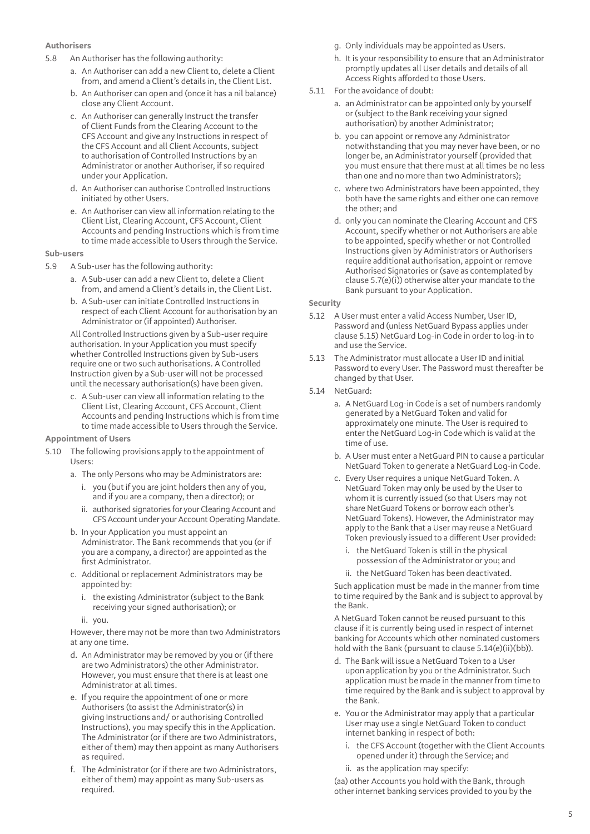#### **Authorisers**

- 5.8 An Authoriser has the following authority:
	- a. An Authoriser can add a new Client to, delete a Client from, and amend a Client's details in, the Client List.
	- b. An Authoriser can open and (once it has a nil balance) close any Client Account.
	- c. An Authoriser can generally Instruct the transfer of Client Funds from the Clearing Account to the CFS Account and give any Instructions in respect of the CFS Account and all Client Accounts, subject to authorisation of Controlled Instructions by an Administrator or another Authoriser, if so required under your Application.
	- d. An Authoriser can authorise Controlled Instructions initiated by other Users.
	- e. An Authoriser can view all information relating to the Client List, Clearing Account, CFS Account, Client Accounts and pending Instructions which is from time to time made accessible to Users through the Service.

#### **Sub-users**

- 5.9 A Sub-user has the following authority:
	- a. A Sub-user can add a new Client to, delete a Client from, and amend a Client's details in, the Client List.
	- b. A Sub-user can initiate Controlled Instructions in respect of each Client Account for authorisation by an Administrator or (if appointed) Authoriser.

All Controlled Instructions given by a Sub-user require authorisation. In your Application you must specify whether Controlled Instructions given by Sub-users require one or two such authorisations. A Controlled Instruction given by a Sub-user will not be processed until the necessary authorisation(s) have been given.

c. A Sub-user can view all information relating to the Client List, Clearing Account, CFS Account, Client Accounts and pending Instructions which is from time to time made accessible to Users through the Service.

#### **Appointment of Users**

- 5.10 The following provisions apply to the appointment of Users:
	- a. The only Persons who may be Administrators are:
		- i. you (but if you are joint holders then any of you, and if you are a company, then a director); or
		- ii. authorised signatories for your Clearing Account and CFS Account under your Account Operating Mandate.
	- b. In your Application you must appoint an Administrator. The Bank recommends that you (or if you are a company, a director) are appointed as the first Administrator.
	- c. Additional or replacement Administrators may be appointed by:
		- i. the existing Administrator (subject to the Bank receiving your signed authorisation); or
		- ii. you.

However, there may not be more than two Administrators at any one time.

- d. An Administrator may be removed by you or (if there are two Administrators) the other Administrator. However, you must ensure that there is at least one Administrator at all times.
- e. If you require the appointment of one or more Authorisers (to assist the Administrator(s) in giving Instructions and/ or authorising Controlled Instructions), you may specify this in the Application. The Administrator (or if there are two Administrators, either of them) may then appoint as many Authorisers as required.
- f. The Administrator (or if there are two Administrators, either of them) may appoint as many Sub-users as required.
- g. Only individuals may be appointed as Users.
- h. It is your responsibility to ensure that an Administrator promptly updates all User details and details of all Access Rights afforded to those Users.
- 5.11 For the avoidance of doubt:
	- a. an Administrator can be appointed only by yourself or (subject to the Bank receiving your signed authorisation) by another Administrator;
	- b. you can appoint or remove any Administrator notwithstanding that you may never have been, or no longer be, an Administrator yourself (provided that you must ensure that there must at all times be no less than one and no more than two Administrators);
	- c. where two Administrators have been appointed, they both have the same rights and either one can remove the other; and
	- d. only you can nominate the Clearing Account and CFS Account, specify whether or not Authorisers are able to be appointed, specify whether or not Controlled Instructions given by Administrators or Authorisers require additional authorisation, appoint or remove Authorised Signatories or (save as contemplated by clause 5.7(e)(i)) otherwise alter your mandate to the Bank pursuant to your Application.

#### **Security**

- 5.12 A User must enter a valid Access Number, User ID, Password and (unless NetGuard Bypass applies under clause 5.15) NetGuard Log-in Code in order to log-in to and use the Service.
- 5.13 The Administrator must allocate a User ID and initial Password to every User. The Password must thereafter be changed by that User.
- 5.14 NetGuard:
	- a. A NetGuard Log-in Code is a set of numbers randomly generated by a NetGuard Token and valid for approximately one minute. The User is required to enter the NetGuard Log-in Code which is valid at the time of use.
	- b. A User must enter a NetGuard PIN to cause a particular NetGuard Token to generate a NetGuard Log-in Code.
	- c. Every User requires a unique NetGuard Token. A NetGuard Token may only be used by the User to whom it is currently issued (so that Users may not share NetGuard Tokens or borrow each other's NetGuard Tokens). However, the Administrator may apply to the Bank that a User may reuse a NetGuard Token previously issued to a different User provided:
		- i. the NetGuard Token is still in the physical possession of the Administrator or you; and
		- ii. the NetGuard Token has been deactivated.

Such application must be made in the manner from time to time required by the Bank and is subject to approval by the Bank.

A NetGuard Token cannot be reused pursuant to this clause if it is currently being used in respect of internet banking for Accounts which other nominated customers hold with the Bank (pursuant to clause 5.14(e)(ii)(bb)).

- d. The Bank will issue a NetGuard Token to a User upon application by you or the Administrator. Such application must be made in the manner from time to time required by the Bank and is subject to approval by the Bank.
- e. You or the Administrator may apply that a particular User may use a single NetGuard Token to conduct internet banking in respect of both:
	- i. the CFS Account (together with the Client Accounts opened under it) through the Service; and
	- ii. as the application may specify:

(aa) other Accounts you hold with the Bank, through other internet banking services provided to you by the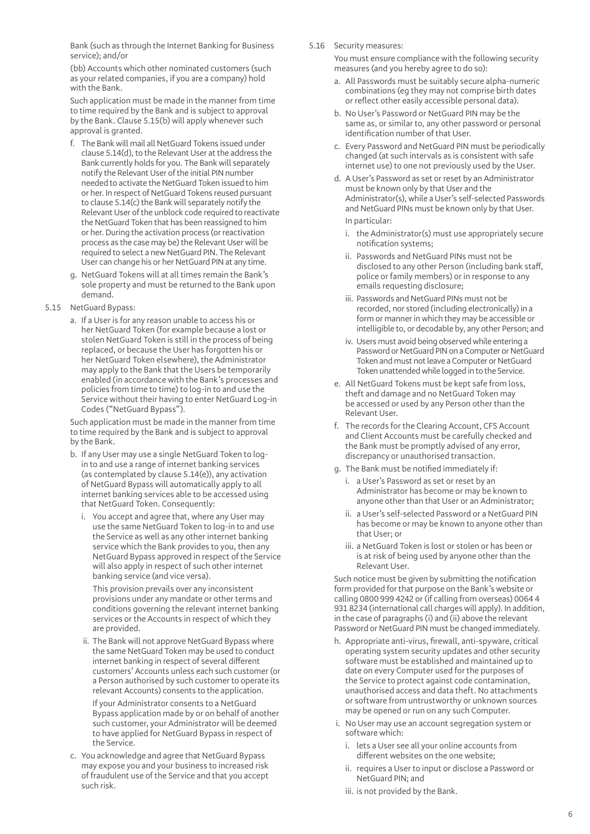Bank (such as through the Internet Banking for Business service); and/or

(bb) Accounts which other nominated customers (such as your related companies, if you are a company) hold with the Bank.

Such application must be made in the manner from time to time required by the Bank and is subject to approval by the Bank. Clause 5.15(b) will apply whenever such approval is granted.

- f. The Bank will mail all NetGuard Tokens issued under clause 5.14(d), to the Relevant User at the address the Bank currently holds for you. The Bank will separately notify the Relevant User of the initial PIN number needed to activate the NetGuard Token issued to him or her. In respect of NetGuard Tokens reused pursuant to clause 5.14(c) the Bank will separately notify the Relevant User of the unblock code required to reactivate the NetGuard Token that has been reassigned to him or her. During the activation process (or reactivation process as the case may be) the Relevant User will be required to select a new NetGuard PIN. The Relevant User can change his or her NetGuard PIN at any time.
- g. NetGuard Tokens will at all times remain the Bank's sole property and must be returned to the Bank upon demand.

#### 5.15 NetGuard Bypass:

a. If a User is for any reason unable to access his or her NetGuard Token (for example because a lost or stolen NetGuard Token is still in the process of being replaced, or because the User has forgotten his or her NetGuard Token elsewhere), the Administrator may apply to the Bank that the Users be temporarily enabled (in accordance with the Bank's processes and policies from time to time) to log-in to and use the Service without their having to enter NetGuard Log-in Codes ("NetGuard Bypass").

Such application must be made in the manner from time to time required by the Bank and is subject to approval by the Bank.

- b. If any User may use a single NetGuard Token to login to and use a range of internet banking services (as contemplated by clause 5.14(e)), any activation of NetGuard Bypass will automatically apply to all internet banking services able to be accessed using that NetGuard Token. Consequently:
	- i. You accept and agree that, where any User may use the same NetGuard Token to log-in to and use the Service as well as any other internet banking service which the Bank provides to you, then any NetGuard Bypass approved in respect of the Service will also apply in respect of such other internet banking service (and vice versa).

This provision prevails over any inconsistent provisions under any mandate or other terms and conditions governing the relevant internet banking services or the Accounts in respect of which they are provided.

 ii. The Bank will not approve NetGuard Bypass where the same NetGuard Token may be used to conduct internet banking in respect of several different customers' Accounts unless each such customer (or a Person authorised by such customer to operate its relevant Accounts) consents to the application.

If your Administrator consents to a NetGuard Bypass application made by or on behalf of another such customer, your Administrator will be deemed to have applied for NetGuard Bypass in respect of the Service.

c. You acknowledge and agree that NetGuard Bypass may expose you and your business to increased risk of fraudulent use of the Service and that you accept such risk.

5.16 Security measures:

You must ensure compliance with the following security measures (and you hereby agree to do so):

- a. All Passwords must be suitably secure alpha-numeric combinations (eg they may not comprise birth dates or reflect other easily accessible personal data).
- b. No User's Password or NetGuard PIN may be the same as, or similar to, any other password or personal identification number of that User.
- c. Every Password and NetGuard PIN must be periodically changed (at such intervals as is consistent with safe internet use) to one not previously used by the User.
- d. A User's Password as set or reset by an Administrator must be known only by that User and the Administrator(s), while a User's self-selected Passwords and NetGuard PINs must be known only by that User. In particular:
	- i. the Administrator(s) must use appropriately secure notification systems;
	- ii. Passwords and NetGuard PINs must not be disclosed to any other Person (including bank staff, police or family members) or in response to any emails requesting disclosure;
	- iii. Passwords and NetGuard PINs must not be recorded, nor stored (including electronically) in a form or manner in which they may be accessible or intelligible to, or decodable by, any other Person; and
	- iv. Users must avoid being observed while entering a Password or NetGuard PIN on a Computer or NetGuard Token and must not leave a Computer or NetGuard Token unattended while logged in to the Service.
- e. All NetGuard Tokens must be kept safe from loss, theft and damage and no NetGuard Token may be accessed or used by any Person other than the Relevant User.
- f. The records for the Clearing Account, CFS Account and Client Accounts must be carefully checked and the Bank must be promptly advised of any error, discrepancy or unauthorised transaction.
- g. The Bank must be notified immediately if:
	- i. a User's Password as set or reset by an Administrator has become or may be known to anyone other than that User or an Administrator;
	- ii. a User's self-selected Password or a NetGuard PIN has become or may be known to anyone other than that User; or
	- iii. a NetGuard Token is lost or stolen or has been or is at risk of being used by anyone other than the Relevant User.

Such notice must be given by submitting the notification form provided for that purpose on the Bank's website or calling 0800 999 4242 or (if calling from overseas) 0064 4 931 8234 (international call charges will apply). In addition, in the case of paragraphs (i) and (ii) above the relevant Password or NetGuard PIN must be changed immediately.

- h. Appropriate anti-virus, firewall, anti-spyware, critical operating system security updates and other security software must be established and maintained up to date on every Computer used for the purposes of the Service to protect against code contamination, unauthorised access and data theft. No attachments or software from untrustworthy or unknown sources may be opened or run on any such Computer.
- i. No User may use an account segregation system or software which:
	- i. lets a User see all your online accounts from different websites on the one website;
	- ii. requires a User to input or disclose a Password or NetGuard PIN; and
	- iii. is not provided by the Bank.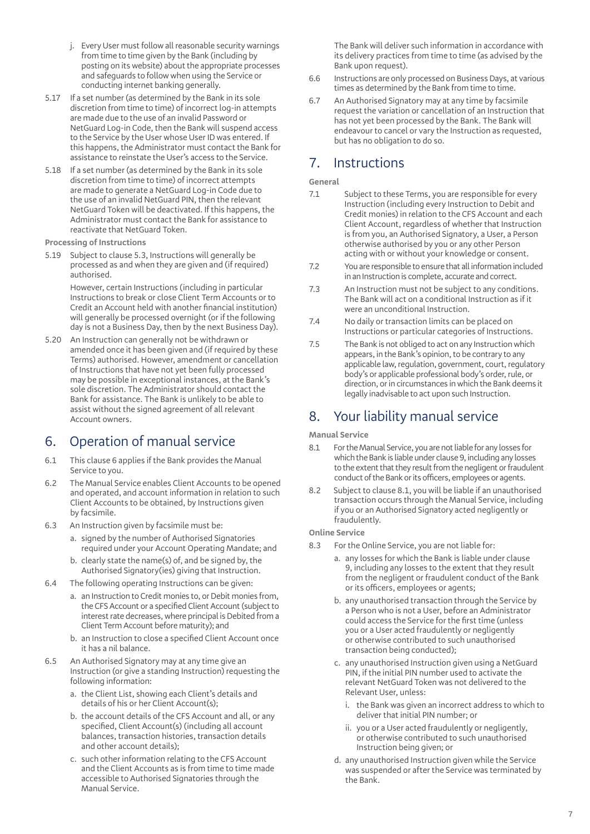- j. Every User must follow all reasonable security warnings from time to time given by the Bank (including by posting on its website) about the appropriate processes and safeguards to follow when using the Service or conducting internet banking generally.
- 5.17 If a set number (as determined by the Bank in its sole discretion from time to time) of incorrect log-in attempts are made due to the use of an invalid Password or NetGuard Log-in Code, then the Bank will suspend access to the Service by the User whose User ID was entered. If this happens, the Administrator must contact the Bank for assistance to reinstate the User's access to the Service.
- 5.18 If a set number (as determined by the Bank in its sole discretion from time to time) of incorrect attempts are made to generate a NetGuard Log-in Code due to the use of an invalid NetGuard PIN, then the relevant NetGuard Token will be deactivated. If this happens, the Administrator must contact the Bank for assistance to reactivate that NetGuard Token.

**Processing of Instructions** 

5.19 Subject to clause 5.3, Instructions will generally be processed as and when they are given and (if required) authorised.

> However, certain Instructions (including in particular Instructions to break or close Client Term Accounts or to Credit an Account held with another financial institution) will generally be processed overnight (or if the following day is not a Business Day, then by the next Business Day).

5.20 An Instruction can generally not be withdrawn or amended once it has been given and (if required by these Terms) authorised. However, amendment or cancellation of Instructions that have not yet been fully processed may be possible in exceptional instances, at the Bank's sole discretion. The Administrator should contact the Bank for assistance. The Bank is unlikely to be able to assist without the signed agreement of all relevant Account owners.

# 6. Operation of manual service

- 6.1 This clause 6 applies if the Bank provides the Manual Service to you.
- 6.2 The Manual Service enables Client Accounts to be opened and operated, and account information in relation to such Client Accounts to be obtained, by Instructions given by facsimile.
- 6.3 An Instruction given by facsimile must be:
	- a. signed by the number of Authorised Signatories required under your Account Operating Mandate; and
	- b. clearly state the name(s) of, and be signed by, the Authorised Signatory(ies) giving that Instruction.
- 6.4 The following operating Instructions can be given:
	- a. an Instruction to Credit monies to, or Debit monies from, the CFS Account or a specified Client Account (subject to interest rate decreases, where principal is Debited from a Client Term Account before maturity); and
	- b. an Instruction to close a specified Client Account once it has a nil balance.
- 6.5 An Authorised Signatory may at any time give an Instruction (or give a standing Instruction) requesting the following information:
	- a. the Client List, showing each Client's details and details of his or her Client Account(s);
	- b. the account details of the CFS Account and all, or any specified, Client Account(s) (including all account balances, transaction histories, transaction details and other account details);
	- c. such other information relating to the CFS Account and the Client Accounts as is from time to time made accessible to Authorised Signatories through the Manual Service.

The Bank will deliver such information in accordance with its delivery practices from time to time (as advised by the Bank upon request).

- 6.6 Instructions are only processed on Business Days, at various times as determined by the Bank from time to time.
- 6.7 An Authorised Signatory may at any time by facsimile request the variation or cancellation of an Instruction that has not yet been processed by the Bank. The Bank will endeavour to cancel or vary the Instruction as requested, but has no obligation to do so.

# 7. Instructions

**General**

- 7.1 Subject to these Terms, you are responsible for every Instruction (including every Instruction to Debit and Credit monies) in relation to the CFS Account and each Client Account, regardless of whether that Instruction is from you, an Authorised Signatory, a User, a Person otherwise authorised by you or any other Person acting with or without your knowledge or consent.
- 7.2 You are responsible to ensure that all information included in an Instruction is complete, accurate and correct.
- 7.3 An Instruction must not be subject to any conditions. The Bank will act on a conditional Instruction as if it were an unconditional Instruction.
- 7.4 No daily or transaction limits can be placed on Instructions or particular categories of Instructions.
- 7.5 The Bank is not obliged to act on any Instruction which appears, in the Bank's opinion, to be contrary to any applicable law, regulation, government, court, regulatory body's or applicable professional body's order, rule, or direction, or in circumstances in which the Bank deems it legally inadvisable to act upon such Instruction.

# 8. Your liability manual service

**Manual Service**

- 8.1 For the Manual Service, you are not liable for any losses for which the Bank is liable under clause 9, including any losses to the extent that they result from the negligent or fraudulent conduct of the Bank or its officers, employees or agents.
- 8.2 Subject to clause 8.1, you will be liable if an unauthorised transaction occurs through the Manual Service, including if you or an Authorised Signatory acted negligently or fraudulently.

### **Online Service**

- 8.3 For the Online Service, you are not liable for:
	- a. any losses for which the Bank is liable under clause 9, including any losses to the extent that they result from the negligent or fraudulent conduct of the Bank or its officers, employees or agents;
	- b. any unauthorised transaction through the Service by a Person who is not a User, before an Administrator could access the Service for the first time (unless you or a User acted fraudulently or negligently or otherwise contributed to such unauthorised transaction being conducted);
	- c. any unauthorised Instruction given using a NetGuard PIN, if the initial PIN number used to activate the relevant NetGuard Token was not delivered to the Relevant User, unless:
		- i. the Bank was given an incorrect address to which to deliver that initial PIN number; or
		- ii. you or a User acted fraudulently or negligently, or otherwise contributed to such unauthorised Instruction being given; or
	- d. any unauthorised Instruction given while the Service was suspended or after the Service was terminated by the Bank.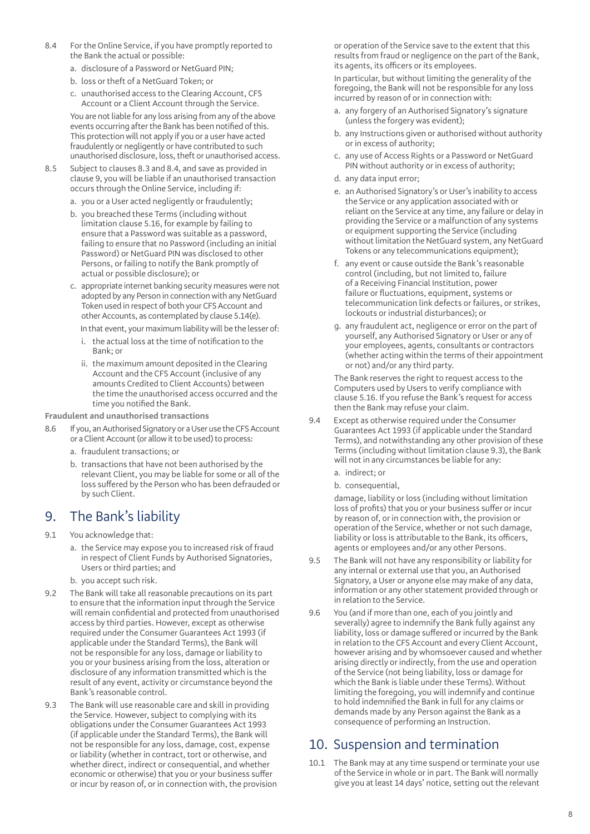- 8.4 For the Online Service, if you have promptly reported to the Bank the actual or possible:
	- a. disclosure of a Password or NetGuard PIN;
	- b. loss or theft of a NetGuard Token; or
	- c. unauthorised access to the Clearing Account, CFS Account or a Client Account through the Service.

You are not liable for any loss arising from any of the above events occurring after the Bank has been notified of this. This protection will not apply if you or a user have acted fraudulently or negligently or have contributed to such unauthorised disclosure, loss, theft or unauthorised access.

- 8.5 Subject to clauses 8.3 and 8.4, and save as provided in clause 9, you will be liable if an unauthorised transaction occurs through the Online Service, including if:
	- a. you or a User acted negligently or fraudulently;
	- b. you breached these Terms (including without limitation clause 5.16, for example by failing to ensure that a Password was suitable as a password, failing to ensure that no Password (including an initial Password) or NetGuard PIN was disclosed to other Persons, or failing to notify the Bank promptly of actual or possible disclosure); or
	- c. appropriate internet banking security measures were not adopted by any Person in connection with any NetGuard Token used in respect of both your CFS Account and other Accounts, as contemplated by clause 5.14(e).

In that event, your maximum liability will be the lesser of:

- i. the actual loss at the time of notification to the Bank; or
- ii. the maximum amount deposited in the Clearing Account and the CFS Account (inclusive of any amounts Credited to Client Accounts) between the time the unauthorised access occurred and the time you notified the Bank.
- **Fraudulent and unauthorised transactions**
- 8.6 If you, an Authorised Signatory or a User use the CFS Account or a Client Account (or allow it to be used) to process:
	- a. fraudulent transactions; or
	- b. transactions that have not been authorised by the relevant Client, you may be liable for some or all of the loss suffered by the Person who has been defrauded or by such Client.

## 9. The Bank's liability

- 9.1 You acknowledge that:
	- a. the Service may expose you to increased risk of fraud in respect of Client Funds by Authorised Signatories, Users or third parties; and
	- b. you accept such risk.
- 9.2 The Bank will take all reasonable precautions on its part to ensure that the information input through the Service will remain confidential and protected from unauthorised access by third parties. However, except as otherwise required under the Consumer Guarantees Act 1993 (if applicable under the Standard Terms), the Bank will not be responsible for any loss, damage or liability to you or your business arising from the loss, alteration or disclosure of any information transmitted which is the result of any event, activity or circumstance beyond the Bank's reasonable control.
- 9.3 The Bank will use reasonable care and skill in providing the Service. However, subject to complying with its obligations under the Consumer Guarantees Act 1993 (if applicable under the Standard Terms), the Bank will not be responsible for any loss, damage, cost, expense or liability (whether in contract, tort or otherwise, and whether direct, indirect or consequential, and whether economic or otherwise) that you or your business suffer or incur by reason of, or in connection with, the provision

or operation of the Service save to the extent that this results from fraud or negligence on the part of the Bank, its agents, its officers or its employees.

In particular, but without limiting the generality of the foregoing, the Bank will not be responsible for any loss incurred by reason of or in connection with:

- a. any forgery of an Authorised Signatory's signature (unless the forgery was evident);
- b. any Instructions given or authorised without authority or in excess of authority;
- c. any use of Access Rights or a Password or NetGuard PIN without authority or in excess of authority;
- d. any data input error;
- e. an Authorised Signatory's or User's inability to access the Service or any application associated with or reliant on the Service at any time, any failure or delay in providing the Service or a malfunction of any systems or equipment supporting the Service (including without limitation the NetGuard system, any NetGuard Tokens or any telecommunications equipment);
- f. any event or cause outside the Bank's reasonable control (including, but not limited to, failure of a Receiving Financial Institution, power failure or fluctuations, equipment, systems or telecommunication link defects or failures, or strikes, lockouts or industrial disturbances); or
- g. any fraudulent act, negligence or error on the part of yourself, any Authorised Signatory or User or any of your employees, agents, consultants or contractors (whether acting within the terms of their appointment or not) and/or any third party.

The Bank reserves the right to request access to the Computers used by Users to verify compliance with clause 5.16. If you refuse the Bank's request for access then the Bank may refuse your claim.

- 9.4 Except as otherwise required under the Consumer Guarantees Act 1993 (if applicable under the Standard Terms), and notwithstanding any other provision of these Terms (including without limitation clause 9.3), the Bank will not in any circumstances be liable for any:
	- a. indirect; or

b. consequential,

damage, liability or loss (including without limitation loss of profits) that you or your business suffer or incur by reason of, or in connection with, the provision or operation of the Service, whether or not such damage, liability or loss is attributable to the Bank, its officers, agents or employees and/or any other Persons.

- 9.5 The Bank will not have any responsibility or liability for any internal or external use that you, an Authorised Signatory, a User or anyone else may make of any data, information or any other statement provided through or in relation to the Service.
- 9.6 You (and if more than one, each of you jointly and severally) agree to indemnify the Bank fully against any liability, loss or damage suffered or incurred by the Bank in relation to the CFS Account and every Client Account, however arising and by whomsoever caused and whether arising directly or indirectly, from the use and operation of the Service (not being liability, loss or damage for which the Bank is liable under these Terms). Without limiting the foregoing, you will indemnify and continue to hold indemnified the Bank in full for any claims or demands made by any Person against the Bank as a consequence of performing an Instruction.

# 10. Suspension and termination

10.1 The Bank may at any time suspend or terminate your use of the Service in whole or in part. The Bank will normally give you at least 14 days' notice, setting out the relevant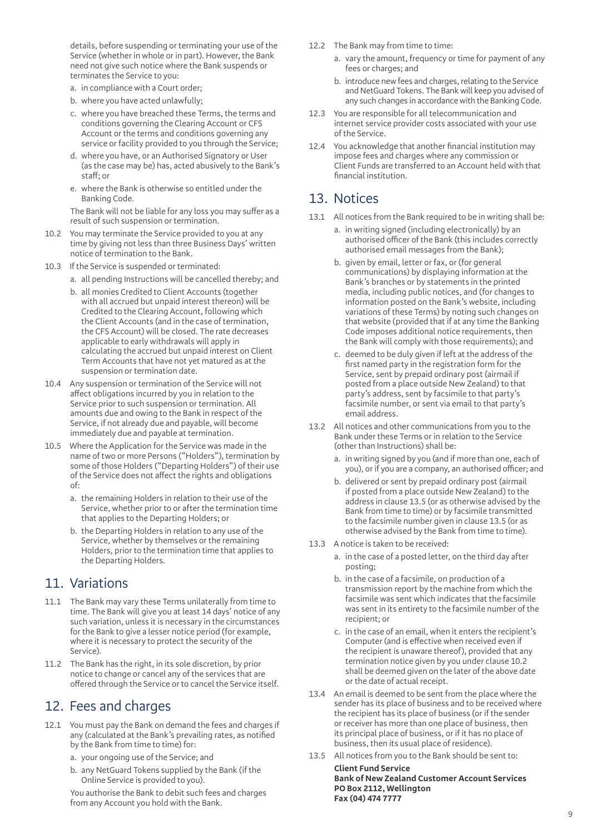details, before suspending or terminating your use of the Service (whether in whole or in part). However, the Bank need not give such notice where the Bank suspends or terminates the Service to you:

- a. in compliance with a Court order;
- b. where you have acted unlawfully;
- c. where you have breached these Terms, the terms and conditions governing the Clearing Account or CFS Account or the terms and conditions governing any service or facility provided to you through the Service;
- d. where you have, or an Authorised Signatory or User (as the case may be) has, acted abusively to the Bank's  $stat$ f or
- e. where the Bank is otherwise so entitled under the Banking Code.

The Bank will not be liable for any loss you may suffer as a result of such suspension or termination.

- 10.2 You may terminate the Service provided to you at any time by giving not less than three Business Days' written notice of termination to the Bank.
- 10.3 If the Service is suspended or terminated:
	- a. all pending Instructions will be cancelled thereby; and
	- b. all monies Credited to Client Accounts (together with all accrued but unpaid interest thereon) will be Credited to the Clearing Account, following which the Client Accounts (and in the case of termination, the CFS Account) will be closed. The rate decreases applicable to early withdrawals will apply in calculating the accrued but unpaid interest on Client Term Accounts that have not yet matured as at the suspension or termination date.
- 10.4 Any suspension or termination of the Service will not affect obligations incurred by you in relation to the Service prior to such suspension or termination. All amounts due and owing to the Bank in respect of the Service, if not already due and payable, will become immediately due and payable at termination.
- 10.5 Where the Application for the Service was made in the name of two or more Persons ("Holders"), termination by some of those Holders ("Departing Holders") of their use of the Service does not affect the rights and obligations of:
	- a. the remaining Holders in relation to their use of the Service, whether prior to or after the termination time that applies to the Departing Holders; or
	- b. the Departing Holders in relation to any use of the Service, whether by themselves or the remaining Holders, prior to the termination time that applies to the Departing Holders.

### 11. Variations

- 11.1 The Bank may vary these Terms unilaterally from time to time. The Bank will give you at least 14 days' notice of any such variation, unless it is necessary in the circumstances for the Bank to give a lesser notice period (for example, where it is necessary to protect the security of the Service).
- 11.2 The Bank has the right, in its sole discretion, by prior notice to change or cancel any of the services that are offered through the Service or to cancel the Service itself.

### 12. Fees and charges

- 12.1 You must pay the Bank on demand the fees and charges if any (calculated at the Bank's prevailing rates, as notified by the Bank from time to time) for:
	- a. your ongoing use of the Service; and
	- b. any NetGuard Tokens supplied by the Bank (if the Online Service is provided to you).

You authorise the Bank to debit such fees and charges from any Account you hold with the Bank.

- 12.2 The Bank may from time to time:
	- a. vary the amount, frequency or time for payment of any fees or charges; and
	- b. introduce new fees and charges, relating to the Service and NetGuard Tokens. The Bank will keep you advised of any such changes in accordance with the Banking Code.
- 12.3 You are responsible for all telecommunication and internet service provider costs associated with your use of the Service.
- 12.4 You acknowledge that another financial institution may impose fees and charges where any commission or Client Funds are transferred to an Account held with that financial institution.

### 13. Notices

- 13.1 All notices from the Bank required to be in writing shall be:
	- a. in writing signed (including electronically) by an authorised officer of the Bank (this includes correctly authorised email messages from the Bank);
	- b. given by email, letter or fax, or (for general communications) by displaying information at the Bank's branches or by statements in the printed media, including public notices, and (for changes to information posted on the Bank's website, including variations of these Terms) by noting such changes on that website (provided that if at any time the Banking Code imposes additional notice requirements, then the Bank will comply with those requirements); and
	- c. deemed to be duly given if left at the address of the first named party in the registration form for the Service, sent by prepaid ordinary post (airmail if posted from a place outside New Zealand) to that party's address, sent by facsimile to that party's facsimile number, or sent via email to that party's email address.
- 13.2 All notices and other communications from you to the Bank under these Terms or in relation to the Service (other than Instructions) shall be:
	- a. in writing signed by you (and if more than one, each of you), or if you are a company, an authorised officer; and
	- b. delivered or sent by prepaid ordinary post (airmail if posted from a place outside New Zealand) to the address in clause 13.5 (or as otherwise advised by the Bank from time to time) or by facsimile transmitted to the facsimile number given in clause 13.5 (or as otherwise advised by the Bank from time to time).
- 13.3 A notice is taken to be received:
	- a. in the case of a posted letter, on the third day after posting;
	- b. in the case of a facsimile, on production of a transmission report by the machine from which the facsimile was sent which indicates that the facsimile was sent in its entirety to the facsimile number of the recipient; or
	- c. in the case of an email, when it enters the recipient's Computer (and is effective when received even if the recipient is unaware thereof), provided that any termination notice given by you under clause 10.2 shall be deemed given on the later of the above date or the date of actual receipt.
- 13.4 An email is deemed to be sent from the place where the sender has its place of business and to be received where the recipient has its place of business (or if the sender or receiver has more than one place of business, then its principal place of business, or if it has no place of business, then its usual place of residence).
- 13.5 All notices from you to the Bank should be sent to: **Client Fund Service Bank of New Zealand Customer Account Services PO Box 2112, Wellington Fax (04) 474 7777**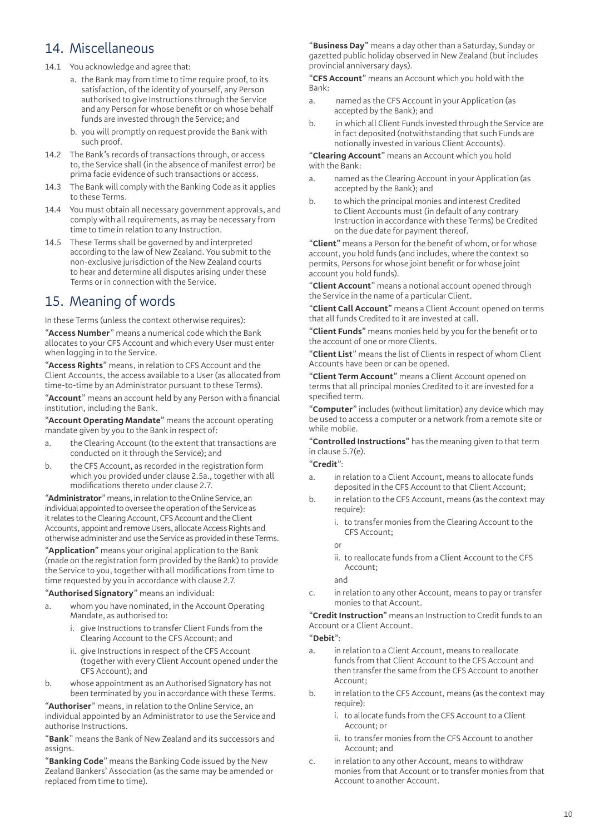# 14. Miscellaneous

- 14.1 You acknowledge and agree that:
	- a. the Bank may from time to time require proof, to its satisfaction, of the identity of yourself, any Person authorised to give Instructions through the Service and any Person for whose benefit or on whose behalf funds are invested through the Service; and
	- b. you will promptly on request provide the Bank with such proof.
- 14.2 The Bank's records of transactions through, or access to, the Service shall (in the absence of manifest error) be prima facie evidence of such transactions or access.
- 14.3 The Bank will comply with the Banking Code as it applies to these Terms.
- 14.4 You must obtain all necessary government approvals, and comply with all requirements, as may be necessary from time to time in relation to any Instruction.
- 14.5 These Terms shall be governed by and interpreted according to the law of New Zealand. You submit to the non-exclusive jurisdiction of the New Zealand courts to hear and determine all disputes arising under these Terms or in connection with the Service.

# 15. Meaning of words

In these Terms (unless the context otherwise requires):

"**Access Number**" means a numerical code which the Bank allocates to your CFS Account and which every User must enter when logging in to the Service.

"**Access Rights**" means, in relation to CFS Account and the Client Accounts, the access available to a User (as allocated from time-to-time by an Administrator pursuant to these Terms).

"**Account**" means an account held by any Person with a financial institution, including the Bank.

"**Account Operating Mandate**" means the account operating mandate given by you to the Bank in respect of:

- a. the Clearing Account (to the extent that transactions are conducted on it through the Service); and
- b. the CFS Account, as recorded in the registration form which you provided under clause 2.5a., together with all modifications thereto under clause 2.7.

"**Administrator**" means, in relation to the Online Service, an individual appointed to oversee the operation of the Service as it relates to the Clearing Account, CFS Account and the Client Accounts, appoint and remove Users, allocate Access Rights and otherwise administer and use the Service as provided in these Terms.

"**Application**" means your original application to the Bank (made on the registration form provided by the Bank) to provide the Service to you, together with all modifications from time to time requested by you in accordance with clause 2.7.

"**Authorised Signatory**" means an individual:

- a. whom you have nominated, in the Account Operating Mandate, as authorised to:
	- i. give Instructions to transfer Client Funds from the Clearing Account to the CFS Account; and
	- ii. give Instructions in respect of the CFS Account (together with every Client Account opened under the CFS Account); and
- b. whose appointment as an Authorised Signatory has not been terminated by you in accordance with these Terms.

"**Authoriser**" means, in relation to the Online Service, an individual appointed by an Administrator to use the Service and authorise Instructions.

"**Bank**" means the Bank of New Zealand and its successors and assigns.

"**Banking Code**" means the Banking Code issued by the New Zealand Bankers' Association (as the same may be amended or replaced from time to time).

"**Business Day**" means a day other than a Saturday, Sunday or gazetted public holiday observed in New Zealand (but includes provincial anniversary days).

"**CFS Account**" means an Account which you hold with the Bank:

- a. named as the CFS Account in your Application (as accepted by the Bank); and
- b. in which all Client Funds invested through the Service are in fact deposited (notwithstanding that such Funds are notionally invested in various Client Accounts).

"**Clearing Account**" means an Account which you hold with the Bank:

- a. named as the Clearing Account in your Application (as accepted by the Bank); and
- b. to which the principal monies and interest Credited to Client Accounts must (in default of any contrary Instruction in accordance with these Terms) be Credited on the due date for payment thereof.

"**Client**" means a Person for the benefit of whom, or for whose account, you hold funds (and includes, where the context so permits, Persons for whose joint benefit or for whose joint account you hold funds).

"**Client Account**" means a notional account opened through the Service in the name of a particular Client.

"**Client Call Account**" means a Client Account opened on terms that all funds Credited to it are invested at call.

"**Client Funds**" means monies held by you for the benefit or to the account of one or more Clients.

"**Client List**" means the list of Clients in respect of whom Client Accounts have been or can be opened.

"**Client Term Account**" means a Client Account opened on terms that all principal monies Credited to it are invested for a specified term.

"**Computer**" includes (without limitation) any device which may be used to access a computer or a network from a remote site or while mobile.

"**Controlled Instructions**" has the meaning given to that term in clause 5.7(e).

#### "**Credit**":

- a. in relation to a Client Account, means to allocate funds deposited in the CFS Account to that Client Account;
- b. in relation to the CFS Account, means (as the context may require):
	- i. to transfer monies from the Clearing Account to the CFS Account;

or

ii. to reallocate funds from a Client Account to the CFS Account;

and

c. in relation to any other Account, means to pay or transfer monies to that Account.

"**Credit Instruction**" means an Instruction to Credit funds to an Account or a Client Account.

### "**Debit**":

- a. in relation to a Client Account, means to reallocate funds from that Client Account to the CFS Account and then transfer the same from the CFS Account to another Account;
- b. in relation to the CFS Account, means (as the context may require):
	- i. to allocate funds from the CFS Account to a Client Account; or
	- ii. to transfer monies from the CFS Account to another Account; and
- c. in relation to any other Account, means to withdraw monies from that Account or to transfer monies from that Account to another Account.